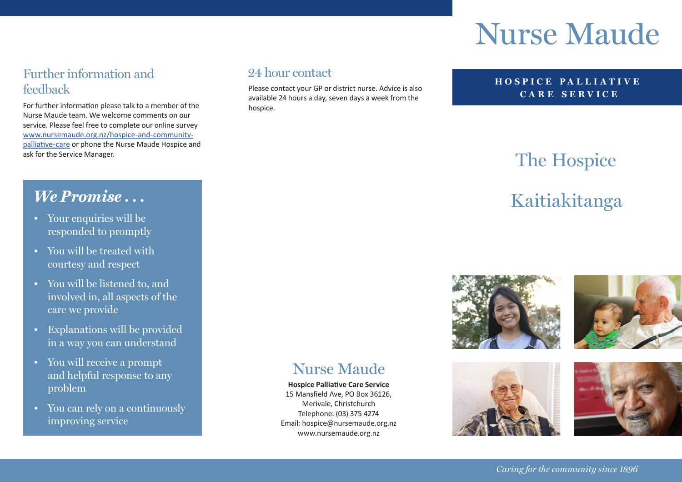# **Nurse Maude**

#### Further information and feedback

For further information please talk to a member of the Nurse Maude team. We welcome comments on our service. Please feel free to complete our online survey [www.nursemaude.org.nz/hospice-and-community](http://www.nursemaude.org.nz/hospice-and-community-palliative-care)[palliative-care](http://www.nursemaude.org.nz/hospice-and-community-palliative-care) or phone the Nurse Maude Hospice and

#### 24 hour contact

Please contact your GP or district nurse. Advice is also available 24 hours a day, seven days a week from the hospice.

#### **HOSPICE PA LLI ATI V E CARE SERVICE**

## ask for the Service Manager.<br>
The Hospice

### *We Promise* ... **We Promise ... Kaitiakitanga**







- Your enquiries will be responded to promptly
- You will be treated with courtesy and respect
- You will be listened to, and involved in, all aspects of the care we provide
- Explanations will be provided in a way you can understand
- You will receive a prompt and helpful response to any problem
- You can rely on a continuously improving service

**Nurse Mande** 

**Hospice Palliative Care Service**  15 Mansfield Ave, PO Box 36126, Merivale, Christchurch Telephone: (03) 375 4274 Email: hospice@nursemaude.org.nz www.nursemaude.org.nz